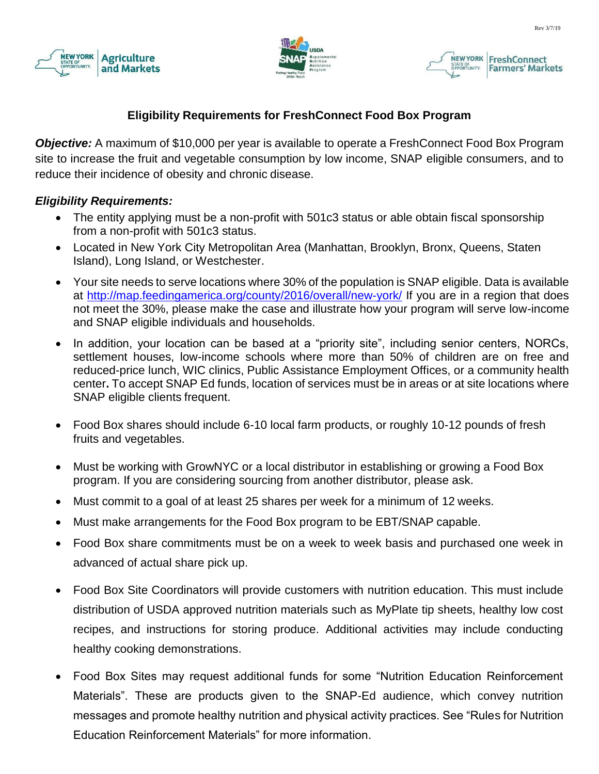





# **Eligibility Requirements for FreshConnect Food Box Program**

*Objective:* A maximum of \$10,000 per year is available to operate a FreshConnect Food Box Program site to increase the fruit and vegetable consumption by low income, SNAP eligible consumers, and to reduce their incidence of obesity and chronic disease.

#### *Eligibility Requirements:*

- The entity applying must be a non-profit with 501c3 status or able obtain fiscal sponsorship from a non-profit with 501c3 status.
- Located in New York City Metropolitan Area (Manhattan, Brooklyn, Bronx, Queens, Staten Island), Long Island, or Westchester.
- Your site needs to serve locations where 30% of the population is SNAP eligible. Data is available at <http://map.feedingamerica.org/county/2016/overall/new-york/> If you are in a region that does not meet the 30%, please make the case and illustrate how your program will serve low-income and SNAP eligible individuals and households.
- In addition, your location can be based at a "priority site", including senior centers, NORCs, settlement houses, low-income schools where more than 50% of children are on free and reduced-price lunch, WIC clinics, Public Assistance Employment Offices, or a community health center**.** To accept SNAP Ed funds, location of services must be in areas or at site locations where SNAP eligible clients frequent.
- Food Box shares should include 6-10 local farm products, or roughly 10-12 pounds of fresh fruits and vegetables.
- Must be working with GrowNYC or a local distributor in establishing or growing a Food Box program. If you are considering sourcing from another distributor, please ask.
- Must commit to a goal of at least 25 shares per week for a minimum of 12 weeks.
- Must make arrangements for the Food Box program to be EBT/SNAP capable.
- Food Box share commitments must be on a week to week basis and purchased one week in advanced of actual share pick up.
- Food Box Site Coordinators will provide customers with nutrition education. This must include distribution of USDA approved nutrition materials such as MyPlate tip sheets, healthy low cost recipes, and instructions for storing produce. Additional activities may include conducting healthy cooking demonstrations.
- Food Box Sites may request additional funds for some "Nutrition Education Reinforcement Materials". These are products given to the SNAP-Ed audience, which convey nutrition messages and promote healthy nutrition and physical activity practices. See "Rules for Nutrition Education Reinforcement Materials" for more information.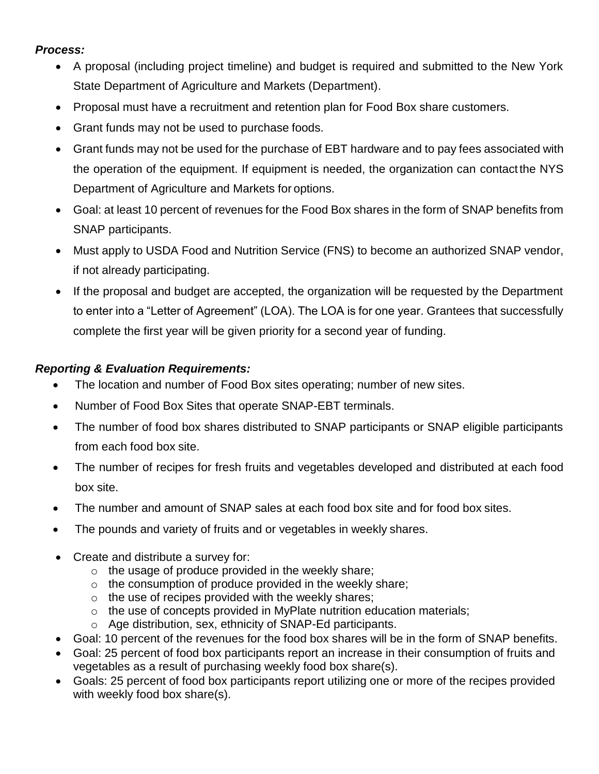### *Process:*

- A proposal (including project timeline) and budget is required and submitted to the New York State Department of Agriculture and Markets (Department).
- Proposal must have a recruitment and retention plan for Food Box share customers.
- Grant funds may not be used to purchase foods.
- Grant funds may not be used for the purchase of EBT hardware and to pay fees associated with the operation of the equipment. If equipment is needed, the organization can contactthe NYS Department of Agriculture and Markets for options.
- Goal: at least 10 percent of revenues for the Food Box shares in the form of SNAP benefits from SNAP participants.
- Must apply to USDA Food and Nutrition Service (FNS) to become an authorized SNAP vendor, if not already participating.
- If the proposal and budget are accepted, the organization will be requested by the Department to enter into a "Letter of Agreement" (LOA). The LOA is for one year. Grantees that successfully complete the first year will be given priority for a second year of funding.

# *Reporting & Evaluation Requirements:*

- The location and number of Food Box sites operating; number of new sites.
- Number of Food Box Sites that operate SNAP-EBT terminals.
- The number of food box shares distributed to SNAP participants or SNAP eligible participants from each food box site.
- The number of recipes for fresh fruits and vegetables developed and distributed at each food box site.
- The number and amount of SNAP sales at each food box site and for food box sites.
- The pounds and variety of fruits and or vegetables in weekly shares.
- Create and distribute a survey for:
	- $\circ$  the usage of produce provided in the weekly share;
	- $\circ$  the consumption of produce provided in the weekly share;
	- $\circ$  the use of recipes provided with the weekly shares;
	- $\circ$  the use of concepts provided in MyPlate nutrition education materials;
	- o Age distribution, sex, ethnicity of SNAP-Ed participants.
- Goal: 10 percent of the revenues for the food box shares will be in the form of SNAP benefits.
- Goal: 25 percent of food box participants report an increase in their consumption of fruits and vegetables as a result of purchasing weekly food box share(s).
- Goals: 25 percent of food box participants report utilizing one or more of the recipes provided with weekly food box share(s).